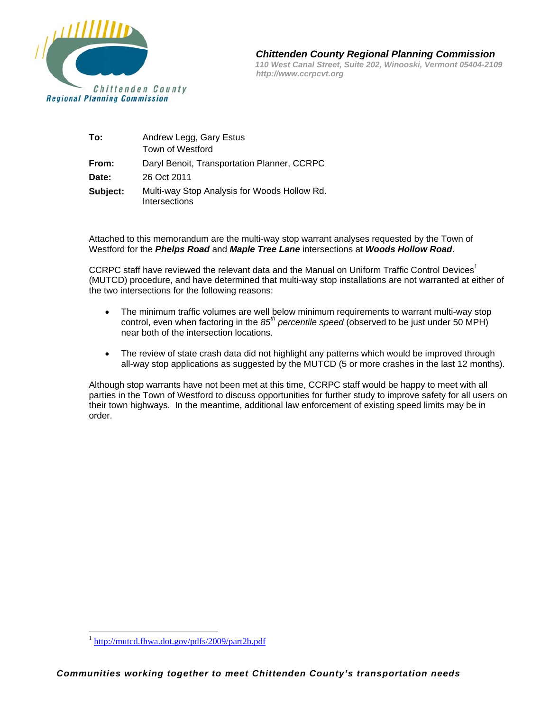

 *Chittenden County Regional Planning Commission* 

 *110 West Canal Street, Suite 202, Winooski, Vermont 05404-2109 http://www.ccrpcvt.org* 

| To:      | Andrew Legg, Gary Estus<br>Town of Westford                   |
|----------|---------------------------------------------------------------|
| From:    | Daryl Benoit, Transportation Planner, CCRPC                   |
| Date:    | 26 Oct 2011                                                   |
| Subject: | Multi-way Stop Analysis for Woods Hollow Rd.<br>Intersections |

Attached to this memorandum are the multi-way stop warrant analyses requested by the Town of Westford for the *Phelps Road* and *Maple Tree Lane* intersections at *Woods Hollow Road*.

CCRPC staff have reviewed the relevant data and the Manual on Uniform Traffic Control Devices<sup>1</sup> (MUTCD) procedure, and have determined that multi-way stop installations are not warranted at either of the two intersections for the following reasons:

- The minimum traffic volumes are well below minimum requirements to warrant multi-way stop control, even when factoring in the *85th percentile speed* (observed to be just under 50 MPH) near both of the intersection locations.
- The review of state crash data did not highlight any patterns which would be improved through all-way stop applications as suggested by the MUTCD (5 or more crashes in the last 12 months).

Although stop warrants have not been met at this time, CCRPC staff would be happy to meet with all parties in the Town of Westford to discuss opportunities for further study to improve safety for all users on their town highways. In the meantime, additional law enforcement of existing speed limits may be in order.

 $\overline{a}$ 

<sup>1</sup> http://mutcd.fhwa.dot.gov/pdfs/2009/part2b.pdf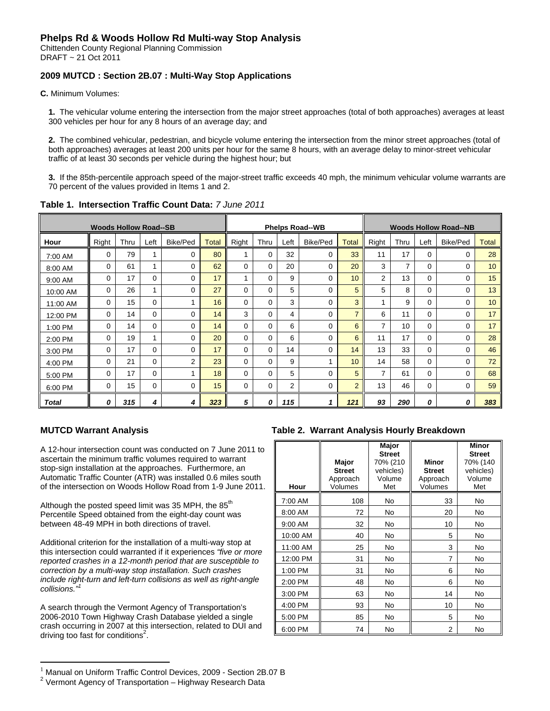# **Phelps Rd & Woods Hollow Rd Multi-way Stop Analysis**

Chittenden County Regional Planning Commission DRAFT ~ 21 Oct 2011

## **2009 MUTCD : Section 2B.07 : Multi-Way Stop Applications**

**C.** Minimum Volumes:

**1.** The vehicular volume entering the intersection from the major street approaches (total of both approaches) averages at least 300 vehicles per hour for any 8 hours of an average day; and

**2.** The combined vehicular, pedestrian, and bicycle volume entering the intersection from the minor street approaches (total of both approaches) averages at least 200 units per hour for the same 8 hours, with an average delay to minor-street vehicular traffic of at least 30 seconds per vehicle during the highest hour; but

**3.** If the 85th-percentile approach speed of the major-street traffic exceeds 40 mph, the minimum vehicular volume warrants are 70 percent of the values provided in Items 1 and 2.

| <b>Woods Hollow Road--SB</b> |          |      |          |                | <b>Phelps Road--WB</b> |          |          |      |          | <b>Woods Hollow Road--NB</b> |                |      |          |          |              |
|------------------------------|----------|------|----------|----------------|------------------------|----------|----------|------|----------|------------------------------|----------------|------|----------|----------|--------------|
| Hour                         | Right    | Thru | Left     | Bike/Ped       | <b>Total</b>           | Right    | Thru     | Left | Bike/Ped | <b>Total</b>                 | Right          | Thru | Left     | Bike/Ped | <b>Total</b> |
| 7:00 AM                      | $\Omega$ | 79   |          | 0              | 80                     |          | $\Omega$ | 32   | 0        | 33                           | 11             | 17   | 0        | $\Omega$ | 28           |
| 8:00 AM                      | $\Omega$ | 61   |          | 0              | 62                     | 0        | 0        | 20   | 0        | 20                           | 3              | 7    | $\Omega$ | $\Omega$ | 10           |
| 9:00 AM                      | $\Omega$ | 17   | $\Omega$ | $\Omega$       | 17                     |          | $\Omega$ | 9    | 0        | 10                           | $\overline{2}$ | 13   | 0        | $\Omega$ | 15           |
| 10:00 AM                     | $\Omega$ | 26   |          | $\Omega$       | 27                     | $\Omega$ | $\Omega$ | 5    | 0        | 5                            | 5              | 8    | 0        | $\Omega$ | 13           |
| 11:00 AM                     | $\Omega$ | 15   | $\Omega$ |                | 16                     | 0        | 0        | 3    | 0        | 3                            |                | 9    | 0        | $\Omega$ | 10           |
| 12:00 PM                     | $\Omega$ | 14   | $\Omega$ | 0              | 14                     | 3        | $\Omega$ | 4    | 0        | $\overline{7}$               | 6              | 11   | 0        | $\Omega$ | 17           |
| 1:00 PM                      | $\Omega$ | 14   | $\Omega$ | $\Omega$       | 14                     | $\Omega$ | $\Omega$ | 6    | 0        | 6                            | $\overline{7}$ | 10   | $\Omega$ | $\Omega$ | 17           |
| 2:00 PM                      | $\Omega$ | 19   |          | 0              | 20                     | 0        | 0        | 6    | 0        | 6                            | 11             | 17   | 0        | $\Omega$ | 28           |
| 3:00 PM                      | $\Omega$ | 17   | $\Omega$ | 0              | 17                     | $\Omega$ | $\Omega$ | 14   | 0        | 14                           | 13             | 33   | $\Omega$ | $\Omega$ | 46           |
| 4:00 PM                      | $\Omega$ | 21   | $\Omega$ | $\overline{2}$ | 23                     | $\Omega$ | $\Omega$ | 9    |          | 10                           | 14             | 58   | 0        | 0        | 72           |
| 5:00 PM                      | $\Omega$ | 17   | $\Omega$ |                | 18                     | $\Omega$ | 0        | 5    | 0        | 5                            | 7              | 61   | 0        | $\Omega$ | 68           |
| 6:00 PM                      | $\Omega$ | 15   | $\Omega$ | 0              | 15                     | $\Omega$ | $\Omega$ | 2    | 0        | $\overline{2}$               | 13             | 46   | $\Omega$ | $\Omega$ | 59           |
| Total                        | 0        | 315  | 4        | 4              | 323                    | 5        | 0        | 115  |          | 121                          | 93             | 290  | 0        | 0        | 383          |

**Table 1. Intersection Traffic Count Data:** *7 June 2011* 

 $\overline{a}$ 

A 12-hour intersection count was conducted on 7 June 2011 to ascertain the minimum traffic volumes required to warrant stop-sign installation at the approaches. Furthermore, an Automatic Traffic Counter (ATR) was installed 0.6 miles south of the intersection on Woods Hollow Road from 1-9 June 2011.

Although the posted speed limit was 35 MPH, the  $85<sup>th</sup>$ Percentile Speed obtained from the eight-day count was between 48-49 MPH in both directions of travel.

Additional criterion for the installation of a multi-way stop at this intersection could warranted if it experiences *"five or more reported crashes in a 12-month period that are susceptible to correction by a multi-way stop installation. Such crashes include right-turn and left-turn collisions as well as right-angle*  collisions."

A search through the Vermont Agency of Transportation's 2006-2010 Town Highway Crash Database yielded a single crash occurring in 2007 at this intersection, related to DUI and driving too fast for conditions<sup>2</sup>.

### **MUTCD Warrant Analysis Table 2. Warrant Analysis Hourly Breakdown**

| Hour     | Major<br><b>Street</b><br>Approach<br>Volumes | Major<br><b>Street</b><br>70% (210<br>vehicles)<br>Volume<br>Met | <b>Minor</b><br><b>Street</b><br>Approach<br>Volumes | <b>Minor</b><br><b>Street</b><br>70% (140<br>vehicles)<br>Volume<br>Met |
|----------|-----------------------------------------------|------------------------------------------------------------------|------------------------------------------------------|-------------------------------------------------------------------------|
| 7:00 AM  | 108                                           | No                                                               | 33                                                   | No                                                                      |
| 8:00 AM  | 72                                            | No                                                               | 20                                                   | No                                                                      |
| 9:00 AM  | 32                                            | No                                                               | 10                                                   | No                                                                      |
| 10:00 AM | 40                                            | No                                                               | 5                                                    | No                                                                      |
| 11:00 AM | 25                                            | No                                                               | 3                                                    | No                                                                      |
| 12:00 PM | 31                                            | No                                                               | $\overline{7}$                                       | No                                                                      |
| 1:00 PM  | 31                                            | No                                                               | 6                                                    | No                                                                      |
| 2:00 PM  | 48                                            | No                                                               | 6                                                    | No                                                                      |
| 3:00 PM  | 63                                            | No                                                               | 14                                                   | No                                                                      |
| 4:00 PM  | 93                                            | No                                                               | 10                                                   | No                                                                      |
| 5:00 PM  | 85                                            | No                                                               | 5                                                    | No                                                                      |
| 6:00 PM  | 74                                            | No                                                               | 2                                                    | <b>No</b>                                                               |

 $1$  Manual on Uniform Traffic Control Devices, 2009 - Section 2B.07 B

 $2$  Vermont Agency of Transportation – Highway Research Data